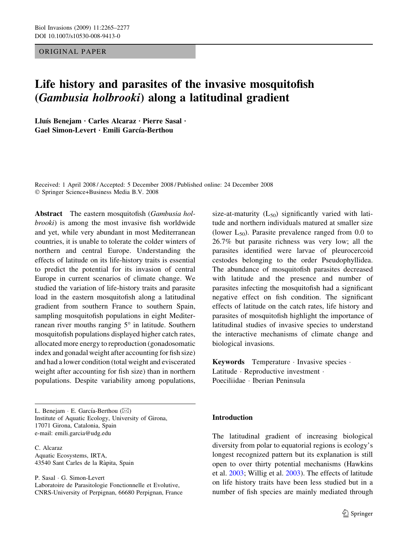# ORIGINAL PAPER

# Life history and parasites of the invasive mosquitofish (Gambusia holbrooki) along a latitudinal gradient

Lluís Benejam · Carles Alcaraz · Pierre Sasal · Gael Simon-Levert · Emili García-Berthou

Received: 1 April 2008 / Accepted: 5 December 2008 / Published online: 24 December 2008 Springer Science+Business Media B.V. 2008

Abstract The eastern mosquitofish (Gambusia holbrooki) is among the most invasive fish worldwide and yet, while very abundant in most Mediterranean countries, it is unable to tolerate the colder winters of northern and central Europe. Understanding the effects of latitude on its life-history traits is essential to predict the potential for its invasion of central Europe in current scenarios of climate change. We studied the variation of life-history traits and parasite load in the eastern mosquitofish along a latitudinal gradient from southern France to southern Spain, sampling mosquitofish populations in eight Mediterranean river mouths ranging  $5^{\circ}$  in latitude. Southern mosquitofish populations displayed higher catch rates, allocated more energy to reproduction (gonadosomatic index and gonadal weight after accounting for fish size) and had a lower condition (total weight and eviscerated weight after accounting for fish size) than in northern populations. Despite variability among populations,

L. Benejam  $\cdot$  E. García-Berthou ( $\boxtimes$ ) Institute of Aquatic Ecology, University of Girona, 17071 Girona, Catalonia, Spain e-mail: emili.garcia@udg.edu

C. Alcaraz Aquatic Ecosystems, IRTA, 43540 Sant Carles de la Ràpita, Spain

P. Sasal · G. Simon-Levert

Laboratoire de Parasitologie Fonctionnelle et Evolutive, CNRS-University of Perpignan, 66680 Perpignan, France size-at-maturity  $(L_{50})$  significantly varied with latitude and northern individuals matured at smaller size (lower  $L_{50}$ ). Parasite prevalence ranged from 0.0 to 26.7% but parasite richness was very low; all the parasites identified were larvae of pleurocercoid cestodes belonging to the order Pseudophyllidea. The abundance of mosquitofish parasites decreased with latitude and the presence and number of parasites infecting the mosquitofish had a significant negative effect on fish condition. The significant effects of latitude on the catch rates, life history and parasites of mosquitofish highlight the importance of latitudinal studies of invasive species to understand the interactive mechanisms of climate change and biological invasions.

Keywords Temperature · Invasive species · Latitude · Reproductive investment · Poeciliidae · Iberian Peninsula

# Introduction

The latitudinal gradient of increasing biological diversity from polar to equatorial regions is ecology's longest recognized pattern but its explanation is still open to over thirty potential mechanisms (Hawkins et al. [2003](#page-11-0); Willig et al. [2003](#page-12-0)). The effects of latitude on life history traits have been less studied but in a number of fish species are mainly mediated through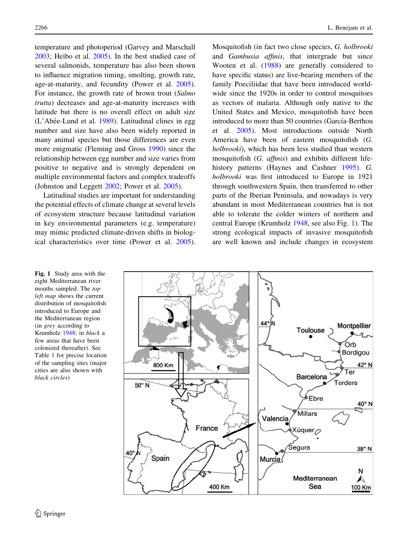<span id="page-1-0"></span>temperature and photoperiod (Garvey and Marschall [2003;](#page-10-0) Heibo et al. [2005\)](#page-11-0). In the best studied case of several salmonids, temperature has also been shown to influence migration timing, smolting, growth rate, age-at-maturity, and fecundity (Power et al. [2005](#page-11-0)). For instance, the growth rate of brown trout (Salmo trutta) decreases and age-at-maturity increases with latitude but there is no overall effect on adult size  $(L'Abee-Lund et al. 1989)$  $(L'Abee-Lund et al. 1989)$ . Latitudinal clines in egg number and size have also been widely reported in many animal species but those differences are even more enigmatic (Fleming and Gross [1990\)](#page-10-0) since the relationship between egg number and size varies from positive to negative and is strongly dependent on multiple environmental factors and complex tradeoffs (Johnston and Leggett [2002;](#page-11-0) Power et al. [2005](#page-11-0)).

Latitudinal studies are important for understanding the potential effects of climate change at several levels of ecosystem structure because latitudinal variation in key environmental parameters (e.g. temperature) may mimic predicted climate-driven shifts in biological characteristics over time (Power et al. [2005](#page-11-0)). Mosquitofish (in fact two close species, G. holbrooki and Gambusia affinis, that intergrade but since Wooten et al. ([1988\)](#page-12-0) are generally considered to have specific status) are live-bearing members of the family Poeciliidae that have been introduced worldwide since the 1920s in order to control mosquitoes as vectors of malaria. Although only native to the United States and Mexico, mosquitofish have been introduced to more than 50 countries (García-Berthou et al. [2005\)](#page-10-0). Most introductions outside North America have been of eastern mosquitofish (G. holbrooki), which has been less studied than western mosquitofish (G. affinis) and exhibits different lifehistory patterns (Haynes and Cashner [1995](#page-11-0)). G. holbrooki was first introduced to Europe in 1921 through southwestern Spain, then transferred to other parts of the Iberian Peninsula, and nowadays is very abundant in most Mediterranean countries but is not able to tolerate the colder winters of northern and central Europe (Krumholz [1948,](#page-11-0) see also Fig. 1). The strong ecological impacts of invasive mosquitofish are well known and include changes in ecosystem



Fig. 1 Study area with the eight Mediterranean river mouths sampled. The top left map shows the current distribution of mosquitofish introduced to Europe and the Mediterranean region (in grey according to Krumholz [1948;](#page-11-0) in black a few areas that have been colonized thereafter). See Table [1](#page-3-0) for precise location of the sampling sites (major cities are also shown with black circles)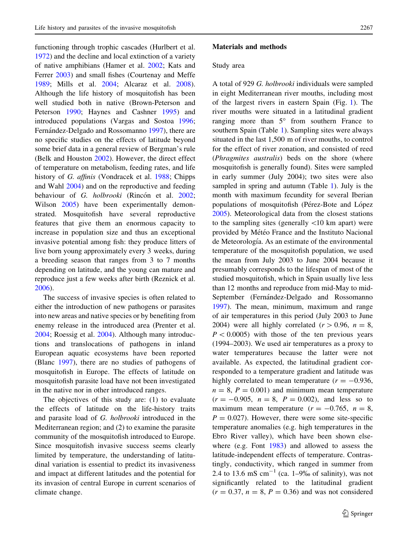functioning through trophic cascades (Hurlbert et al. [1972\)](#page-11-0) and the decline and local extinction of a variety of native amphibians (Hamer et al. [2002](#page-11-0); Kats and Ferrer [2003\)](#page-11-0) and small fishes (Courtenay and Meffe [1989;](#page-10-0) Mills et al. [2004;](#page-11-0) Alcaraz et al. [2008](#page-10-0)). Although the life history of mosquitofish has been well studied both in native (Brown-Peterson and Peterson [1990](#page-10-0); Haynes and Cashner [1995](#page-11-0)) and introduced populations (Vargas and Sostoa [1996](#page-12-0); Fernández-Delgado and Rossomanno [1997](#page-10-0)), there are no specific studies on the effects of latitude beyond some brief data in a general review of Bergman's rule (Belk and Houston [2002\)](#page-10-0). However, the direct effect of temperature on metabolism, feeding rates, and life history of G. affinis (Vondracek et al. [1988](#page-12-0); Chipps and Wahl [2004\)](#page-10-0) and on the reproductive and feeding behaviour of G. holbrooki (Rincón et al. [2002](#page-11-0); Wilson [2005\)](#page-12-0) have been experimentally demonstrated. Mosquitofish have several reproductive features that give them an enormous capacity to increase in population size and thus an exceptional invasive potential among fish: they produce litters of live born young approximately every 3 weeks, during a breeding season that ranges from 3 to 7 months depending on latitude, and the young can mature and reproduce just a few weeks after birth (Reznick et al. [2006\)](#page-11-0).

The success of invasive species is often related to either the introduction of new pathogens or parasites into new areas and native species or by benefiting from enemy release in the introduced area (Prenter et al. [2004;](#page-11-0) Roessig et al. [2004](#page-11-0)). Although many introductions and translocations of pathogens in inland European aquatic ecosystems have been reported (Blanc [1997\)](#page-10-0), there are no studies of pathogens of mosquitofish in Europe. The effects of latitude on mosquitofish parasite load have not been investigated in the native nor in other introduced ranges.

The objectives of this study are: (1) to evaluate the effects of latitude on the life-history traits and parasite load of G. holbrooki introduced in the Mediterranean region; and (2) to examine the parasite community of the mosquitofish introduced to Europe. Since mosquitofish invasive success seems clearly limited by temperature, the understanding of latitudinal variation is essential to predict its invasiveness and impact at different latitudes and the potential for its invasion of central Europe in current scenarios of climate change.

## Materials and methods

#### Study area

A total of 929 G. holbrooki individuals were sampled in eight Mediterranean river mouths, including most of the largest rivers in eastern Spain (Fig. [1](#page-1-0)). The river mouths were situated in a latitudinal gradient ranging more than  $5^\circ$  from southern France to southern Spain (Table [1](#page-3-0)). Sampling sites were always situated in the last 1,500 m of river mouths, to control for the effect of river zonation, and consisted of reed (Phragmites australis) beds on the shore (where mosquitofish is generally found). Sites were sampled in early summer (July 2004); two sites were also sampled in spring and autumn (Table [1](#page-3-0)). July is the month with maximum fecundity for several Iberian populations of mosquitofish (Pérez-Bote and López [2005\)](#page-11-0). Meteorological data from the closest stations to the sampling sites (generally  $\langle 10 \text{ km} \text{ apart} \rangle$ ) were provided by Météo France and the Instituto Nacional de Meteorología. As an estimate of the environmental temperature of the mosquitofish population, we used the mean from July 2003 to June 2004 because it presumably corresponds to the lifespan of most of the studied mosquitofish, which in Spain usually live less than 12 months and reproduce from mid-May to mid-September (Fernández-Delgado and Rossomanno [1997\)](#page-10-0). The mean, minimum, maximum and range of air temperatures in this period (July 2003 to June 2004) were all highly correlated  $(r > 0.96, n = 8,$  $P < 0.0005$ ) with those of the ten previous years (1994–2003). We used air temperatures as a proxy to water temperatures because the latter were not available. As expected, the latitudinal gradient corresponded to a temperature gradient and latitude was highly correlated to mean temperature ( $r = -0.936$ ,  $n = 8$ ,  $P = 0.001$ ) and minimum mean temperature  $(r = -0.905, n = 8, P = 0.002)$ , and less so to maximum mean temperature  $(r = -0.765, n = 8,$  $P = 0.027$ ). However, there were some site-specific temperature anomalies (e.g. high temperatures in the Ebro River valley), which have been shown elsewhere (e.g. Font [1983\)](#page-10-0) and allowed to assess the latitude-independent effects of temperature. Contrastingly, conductivity, which ranged in summer from 2.4 to 13.6 mS  $cm^{-1}$  (ca. 1–9‰ of salinity), was not significantly related to the latitudinal gradient  $(r = 0.37, n = 8, P = 0.36)$  and was not considered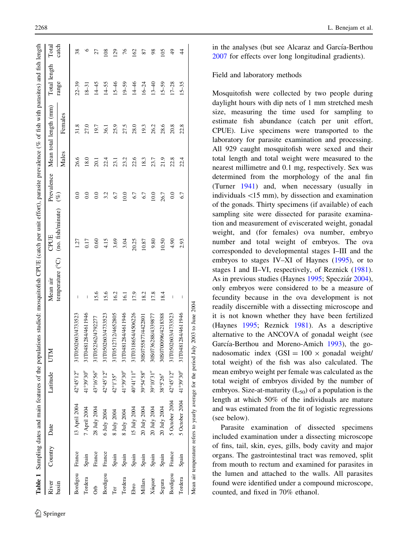<span id="page-3-0"></span>

| $42^{\circ}45'12'$<br>41°39'30'<br>$43^{\circ}16'56'$<br>$42^{\circ}45'12'$<br>$42^{\circ}1'35''$<br>41°39'30'<br>$40^{\circ}41'11'$<br>$39^{\circ}54'58'$<br>$39^{\circ}10'31'$<br>$38^{\circ}5'26''$<br>$42^{\circ}45'12''$<br>5 October 2004<br>13 April 2004<br>20 July 2004<br>20 July 2004<br>7 April 2004<br>28 July 2004<br>20 July 2004<br>15 July 2004<br>8 July 2004<br>6 July 2004<br>8 July 2004<br>Bordigou France<br>France<br>France<br>France<br>Spain<br>Spain<br>Spain<br>Spain<br>Spain<br>Spain<br>Spain<br>Bordigou<br>Bordigou<br>Tordera<br>Tordera<br>Xúquer<br>Millars<br>Segura<br>basin<br>Ebro<br><b>S</b><br>Тer | E<br>Latitude<br>Date | Mean air                              | CPUE                               | Prevalence |       | Mean total length (mm) | Total length | Total         |
|------------------------------------------------------------------------------------------------------------------------------------------------------------------------------------------------------------------------------------------------------------------------------------------------------------------------------------------------------------------------------------------------------------------------------------------------------------------------------------------------------------------------------------------------------------------------------------------------------------------------------------------------|-----------------------|---------------------------------------|------------------------------------|------------|-------|------------------------|--------------|---------------|
|                                                                                                                                                                                                                                                                                                                                                                                                                                                                                                                                                                                                                                                |                       |                                       | temperature (°C) (no. fish/minute) | $(\%)$     | Males | Females                | range        | catch         |
|                                                                                                                                                                                                                                                                                                                                                                                                                                                                                                                                                                                                                                                | 31T0502603/4733523    | Т                                     | is.                                | $_{0.0}$   | 26.6  | 31.8                   | $22 - 39$    | 38            |
|                                                                                                                                                                                                                                                                                                                                                                                                                                                                                                                                                                                                                                                | 31T0481284/4611946    | $\begin{array}{c} \hline \end{array}$ | 0.17                               | $_{0.0}$   | 18.0  | 27.0                   | $18 - 31$    | $\circ$       |
|                                                                                                                                                                                                                                                                                                                                                                                                                                                                                                                                                                                                                                                | 31T052362/4792277     | 15.6                                  | 0.60                               | 0.0        | 20.1  | 19.7                   | $14 - 45$    | 27            |
|                                                                                                                                                                                                                                                                                                                                                                                                                                                                                                                                                                                                                                                | 31T0502603/4733523    | 15.6                                  | 4.15                               | 3.2        | 22.4  | 36.1                   | $14 - 55$    | 108           |
|                                                                                                                                                                                                                                                                                                                                                                                                                                                                                                                                                                                                                                                | 31T0512712/4652805    | 16.2                                  | 3.69                               | 6.7        | 23.1  | 25.9                   | $15 - 46$    | 129           |
|                                                                                                                                                                                                                                                                                                                                                                                                                                                                                                                                                                                                                                                | 31T0481284/4611946    | $\overline{5}$                        | 3.04                               | 10.0       | 23.2  | 27.5                   | $19 - 59$    | 76            |
|                                                                                                                                                                                                                                                                                                                                                                                                                                                                                                                                                                                                                                                | 31T0318654/4506226    | 17.9                                  | 20.25                              | 6.7        | 22.6  | 28.0                   | $14 - 46$    | 162           |
|                                                                                                                                                                                                                                                                                                                                                                                                                                                                                                                                                                                                                                                | 30S0755877/442280     | 18.2                                  | 10.87                              | 6.7        | 18.3  | 19.3                   | $16 - 24$    | 87            |
|                                                                                                                                                                                                                                                                                                                                                                                                                                                                                                                                                                                                                                                | 30S0736288/4339877    | 17.8                                  | 9.80                               | 10.0       | 23.7  | 26.2                   | $13 - 40$    | $^{98}$       |
|                                                                                                                                                                                                                                                                                                                                                                                                                                                                                                                                                                                                                                                | 30S0700096/4218388    | 18.4                                  | 0.50                               | 26.7       | 21.9  | 28.6                   | $15 - 59$    | 105           |
|                                                                                                                                                                                                                                                                                                                                                                                                                                                                                                                                                                                                                                                | 31T0502603/4733523    | I                                     | 4.90                               | 0.0        | 22.8  | 20.8                   | $17 - 28$    | $\frac{9}{4}$ |
| 41°39'30'<br>5 October 2004<br>Spain<br>Tordera                                                                                                                                                                                                                                                                                                                                                                                                                                                                                                                                                                                                | 31T0481284/4611946    | J                                     | 2.93                               | 6.7        | 22.4  | 22.8                   | $15 - 35$    | 4             |

in the analyses (but see Alcaraz and García-Berthou

[2007](#page-10-0) for effects over long longitudinal gradients).

#### Field and laboratory methods

Mosquitofish were collected by two people during daylight hours with dip nets of 1 mm stretched mesh size, measuring the time used for sampling to estimate fish abundance (catch per unit effort, CPUE). Live specimens were transported to the laboratory for parasite examination and processing. All 929 caught mosquitofish were sexed and their total length and total weight were measured to the nearest millimetre and 0.1 mg, respectively. Sex was determined from the morphology of the anal fin (Turner [1941\)](#page-12-0) and, when necessary (usually in individuals \15 mm), by dissection and examination of the gonads. Thirty specimens (if available) of each sampling site were dissected for parasite examination and measurement of eviscerated weight, gonadal weight, and (for females) ova number, embryo number and total weight of embryos. The ova corresponded to developmental stages I–III and the embryos to stages IV–XI of Haynes ([1995\)](#page-11-0), or to stages I and II–VI, respectively, of Reznick ([1981](#page-11-0)). As in previous studies (Haynes [1995](#page-11-0); Specziár [2004](#page-12-0)), only embryos were considered to be a measure of fecundity because in the ova development is not readily discernible with a dissecting microscope and it is not known whether they have been fertilized (Haynes [1995;](#page-11-0) Reznick [1981](#page-11-0)). As a descriptive alternative to the ANCOVA of gonadal weight (see García-Berthou and Moreno-Amich [1993\)](#page-10-0), the gonadosomatic index  $(GSI = 100 \times \text{gonadal weight}/\text{C}$ total weight) of the fish was also calculated. The mean embryo weight per female was calculated as the total weight of embryos divided by the number of embryos. Size-at-maturity  $(L_{50})$  of a population is the length at which 50% of the individuals are mature and was estimated from the fit of logistic regressions (see below).

Parasite examination of dissected specimens included examination under a dissecting microscope of fins, tail, skin, eyes, gills, body cavity and major organs. The gastrointestinal tract was removed, split from mouth to rectum and examined for parasites in the lumen and attached to the walls. All parasites found were identified under a compound microscope, counted, and fixed in 70% ethanol.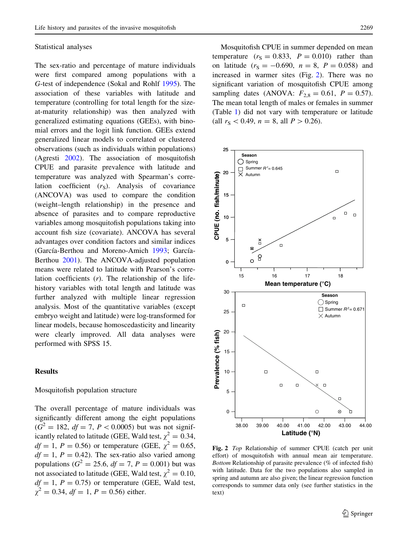#### <span id="page-4-0"></span>Statistical analyses

The sex-ratio and percentage of mature individuals were first compared among populations with a G-test of independence (Sokal and Rohlf [1995\)](#page-12-0). The association of these variables with latitude and temperature (controlling for total length for the sizeat-maturity relationship) was then analyzed with generalized estimating equations (GEEs), with binomial errors and the logit link function. GEEs extend generalized linear models to correlated or clustered observations (such as individuals within populations) (Agresti [2002\)](#page-10-0). The association of mosquitofish CPUE and parasite prevalence with latitude and temperature was analyzed with Spearman's correlation coefficient  $(r<sub>S</sub>)$ . Analysis of covariance (ANCOVA) was used to compare the condition (weight–length relationship) in the presence and absence of parasites and to compare reproductive variables among mosquitofish populations taking into account fish size (covariate). ANCOVA has several advantages over condition factors and similar indices (García-Berthou and Moreno-Amich [1993](#page-10-0); García-Berthou [2001\)](#page-10-0). The ANCOVA-adjusted population means were related to latitude with Pearson's correlation coefficients  $(r)$ . The relationship of the lifehistory variables with total length and latitude was further analyzed with multiple linear regression analysis. Most of the quantitative variables (except embryo weight and latitude) were log-transformed for linear models, because homoscedasticity and linearity were clearly improved. All data analyses were performed with SPSS 15.

## Results

#### Mosquitofish population structure

The overall percentage of mature individuals was significantly different among the eight populations  $(G<sup>2</sup> = 182, df = 7, P < 0.0005)$  but was not significantly related to latitude (GEE, Wald test,  $\chi^2 = 0.34$ ,  $df = 1, P = 0.56$  or temperature (GEE,  $\chi^2 = 0.65$ ,  $df = 1$ ,  $P = 0.42$ ). The sex-ratio also varied among populations ( $G^2 = 25.6$ ,  $df = 7$ ,  $P = 0.001$ ) but was not associated to latitude (GEE, Wald test,  $\chi^2 = 0.10$ ,  $df = 1$ ,  $P = 0.75$ ) or temperature (GEE, Wald test,  $\gamma^2 = 0.34$ ,  $df = 1$ ,  $P = 0.56$ ) either.

Mosquitofish CPUE in summer depended on mean temperature  $(r<sub>S</sub> = 0.833, P = 0.010)$  rather than on latitude  $(r<sub>S</sub> = -0.690, n = 8, P = 0.058)$  and increased in warmer sites (Fig. 2). There was no significant variation of mosquitofish CPUE among sampling dates (ANOVA:  $F_{2,8} = 0.61, P = 0.57$ ). The mean total length of males or females in summer (Table [1](#page-3-0)) did not vary with temperature or latitude (all  $r_S < 0.49$ ,  $n = 8$ , all  $P > 0.26$ ).



Fig. 2 Top Relationship of summer CPUE (catch per unit effort) of mosquitofish with annual mean air temperature. Bottom Relationship of parasite prevalence (% of infected fish) with latitude. Data for the two populations also sampled in spring and autumn are also given; the linear regression function corresponds to summer data only (see further statistics in the text)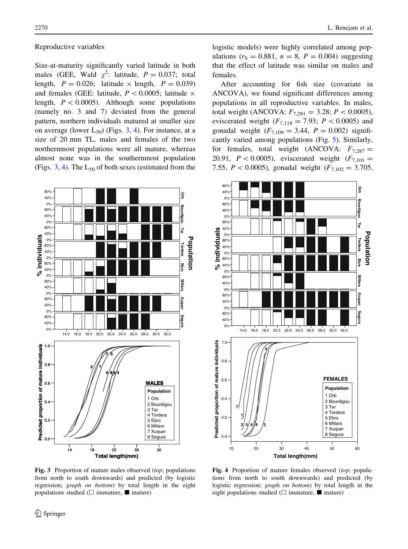**sl audi vi dni %**

80% 40% 0%

80% 40% 0%

80% 40% 0%

80% 40% 0%

80% 40% 0%

80% 40% 0%

80% 40% 0%

80% 40% 0%

#### Reproductive variables

Size-at-maturity significantly varied latitude in both males (GEE, Wald  $\chi^2$ : latitude,  $P = 0.037$ ; total length,  $P = 0.026$ ; latitude  $\times$  length,  $P = 0.039$ ) and females (GEE: latitude,  $P < 0.0005$ ; latitude  $\times$ length,  $P < 0.0005$ ). Although some populations (namely no. 3 and 7) deviated from the general pattern, northern individuals matured at smaller size on average (lower  $L_{50}$ ) (Figs. 3, 4). For instance, at a size of 20 mm TL, males and females of the two northernmost populations were all mature, whereas almost none was in the southernmost population (Figs.  $3, 4$ ). The  $L_{50}$  of both sexes (estimated from the



**Total length(mm)**

14 18 22 26 30

14.0 16.0 18.0 20.0 22.0 24.0 26.0 28.0 30.0 32.0

**7 5**

**2 1**

**4 8 6**

**3**

**Population** 1 Orb 2 Bourdigou 3 Ter 4 Tordera 5 Ebro 6 Millars 7 Xuquer 8 Segura

**MALES**<br> **Drawn Browned Browned Browned Browned Browned Browned Browned Browned Browned Browned Browned Browned Browned Browned Browned Browned Browned Browned Browned Browned Browned Browned Browned Browned Browned Browne** 

**MALES**

**Population** 

Tordera

ă

å

0.0

0.2

0.4

0.6

**Bredicted proportion of mature individuals**<br>**a c**<br>**d c**<br>**d c** 

0.8

logistic models) were highly correlated among populations ( $r_s = 0.881$ ,  $n = 8$ ,  $P = 0.004$ ) suggesting that the effect of latitude was similar on males and females.

After accounting for fish size (covariate in ANCOVA), we found significant differences among populations in all reproductive variables. In males, total weight (ANCOVA:  $F_{7,281} = 3.28; P < 0.0005$ ), eviscerated weight  $(F_{7,118} = 7.93; P < 0.0005)$  and gonadal weight  $(F_{7,109} = 3.44, P = 0.002)$  significantly varied among populations (Fig. [5\)](#page-6-0). Similarly, for females, total weight (ANCOVA:  $F_{7,287} =$ 20.91,  $P < 0.0005$ ), eviscerated weight ( $F_{7,101} =$ 7.55,  $P < 0.0005$ ), gonadal weight ( $F_{7,102} = 3.705$ ,



Fig. 4 Proportion of mature females observed (top; populations from north to south downwards) and predicted (by logistic regression; graph on bottom) by total length in the eight populations studied ( $\Box$  immature,  $\blacksquare$  mature)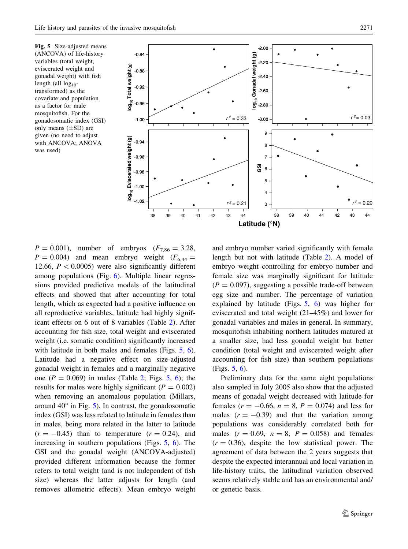<span id="page-6-0"></span>



 $P = 0.001$ ), number of embryos ( $F_{7,86} = 3.28$ ,  $P = 0.004$ ) and mean embryo weight  $(F<sub>6,44</sub> =$ 12.66,  $P < 0.0005$ ) were also significantly different among populations (Fig. [6](#page-7-0)). Multiple linear regressions provided predictive models of the latitudinal effects and showed that after accounting for total length, which as expected had a positive influence on all reproductive variables, latitude had highly significant effects on 6 out of 8 variables (Table [2\)](#page-7-0). After accounting for fish size, total weight and eviscerated weight (i.e. somatic condition) significantly increased with latitude in both males and females (Figs. 5, [6](#page-7-0)). Latitude had a negative effect on size-adjusted gonadal weight in females and a marginally negative one ( $P = 0.069$ ) in males (Table [2](#page-7-0); Figs. 5, [6\)](#page-7-0); the results for males were highly significant ( $P = 0.002$ ) when removing an anomalous population (Millars, around  $40^{\circ}$  in Fig. 5). In contrast, the gonadosomatic index (GSI) was less related to latitude in females than in males, being more related in the latter to latitude  $(r = -0.45)$  than to temperature  $(r = 0.24)$ , and increasing in southern populations (Figs. 5, [6\)](#page-7-0). The GSI and the gonadal weight (ANCOVA-adjusted) provided different information because the former refers to total weight (and is not independent of fish size) whereas the latter adjusts for length (and removes allometric effects). Mean embryo weight

and embryo number varied significantly with female length but not with latitude (Table [2](#page-7-0)). A model of embryo weight controlling for embryo number and female size was marginally significant for latitude  $(P = 0.097)$ , suggesting a possible trade-off between egg size and number. The percentage of variation explained by latitude (Figs. 5, [6\)](#page-7-0) was higher for eviscerated and total weight (21–45%) and lower for gonadal variables and males in general. In summary, mosquitofish inhabiting northern latitudes matured at a smaller size, had less gonadal weight but better condition (total weight and eviscerated weight after accounting for fish size) than southern populations (Figs. 5, [6\)](#page-7-0).

Preliminary data for the same eight populations also sampled in July 2005 also show that the adjusted means of gonadal weight decreased with latitude for females ( $r = -0.66$ ,  $n = 8$ ,  $P = 0.074$ ) and less for males  $(r = -0.39)$  and that the variation among populations was considerably correlated both for males  $(r = 0.69, n = 8, P = 0.058)$  and females  $(r = 0.36)$ , despite the low statistical power. The agreement of data between the 2 years suggests that despite the expected interannual and local variation in life-history traits, the latitudinal variation observed seems relatively stable and has an environmental and/ or genetic basis.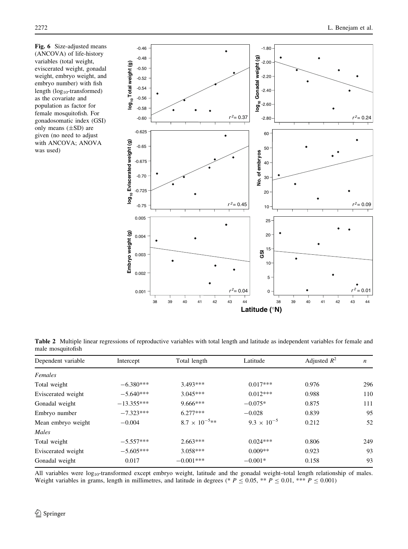<span id="page-7-0"></span>Fig. 6 Size-adjusted means (ANCOVA) of life-history variables (total weight, eviscerated weight, gonadal weight, embryo weight, and embryo number) with fish length  $(log_{10}$ -transformed) as the covariate and population as factor for female mosquitofish. For gonadosomatic index (GSI) only means (±SD) are given (no need to adjust with ANCOVA; ANOVA was used)



Table 2 Multiple linear regressions of reproductive variables with total length and latitude as independent variables for female and male mosquitofish

| Dependent variable | Intercept    | Total length            | Latitude             | Adjusted $R^2$ | n   |
|--------------------|--------------|-------------------------|----------------------|----------------|-----|
| Females            |              |                         |                      |                |     |
| Total weight       | $-6.380***$  | $3.493***$              | $0.017***$           | 0.976          | 296 |
| Eviscerated weight | $-5.640***$  | $3.045***$              | $0.012***$           | 0.988          | 110 |
| Gonadal weight     | $-13.355***$ | $9.666***$              | $-0.075*$            | 0.875          | 111 |
| Embryo number      | $-7.323***$  | $6.277***$              | $-0.028$             | 0.839          | 95  |
| Mean embryo weight | $-0.004$     | $8.7 \times 10^{-5}$ ** | $9.3 \times 10^{-5}$ | 0.212          | 52  |
| Males              |              |                         |                      |                |     |
| Total weight       | $-5.557***$  | $2.663***$              | $0.024***$           | 0.806          | 249 |
| Eviscerated weight | $-5.605***$  | $3.058***$              | $0.009**$            | 0.923          | 93  |
| Gonadal weight     | 0.017        | $-0.001***$             | $-0.001*$            | 0.158          | 93  |

All variables were  $log_{10}$ -transformed except embryo weight, latitude and the gonadal weight-total length relationship of males. Weight variables in grams, length in millimetres, and latitude in degrees (\*  $P \le 0.05$ , \*\*  $P \le 0.01$ , \*\*\*  $P \le 0.001$ )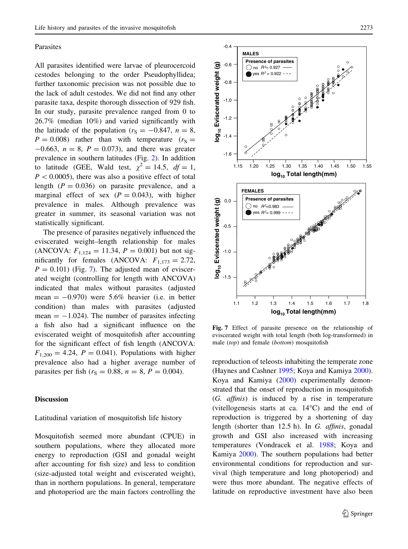### <span id="page-8-0"></span>Parasites

All parasites identified were larvae of pleurocercoid cestodes belonging to the order Pseudophyllidea; further taxonomic precision was not possible due to the lack of adult cestodes. We did not find any other parasite taxa, despite thorough dissection of 929 fish. In our study, parasite prevalence ranged from 0 to 26.7% (median 10%) and varied significantly with the latitude of the population ( $r_S = -0.847$ ,  $n = 8$ ,  $P = 0.008$ ) rather than with temperature ( $r<sub>S</sub> =$  $-0.663$ ,  $n = 8$ ,  $P = 0.073$ ), and there was greater prevalence in southern latitudes (Fig. [2](#page-4-0)). In addition to latitude (GEE, Wald test,  $\chi^2 = 14.5$ ,  $df = 1$ ,  $P < 0.0005$ ), there was also a positive effect of total length  $(P = 0.036)$  on parasite prevalence, and a marginal effect of sex  $(P = 0.043)$ , with higher prevalence in males. Although prevalence was greater in summer, its seasonal variation was not statistically significant.

The presence of parasites negatively influenced the eviscerated weight–length relationship for males (ANCOVA:  $F_{1,124} = 11.34, P = 0.001$ ) but not significantly for females (ANCOVA:  $F_{1,173} = 2.72$ ,  $P = 0.101$ ) (Fig. 7). The adjusted mean of eviscerated weight (controlling for length with ANCOVA) indicated that males without parasites (adjusted mean  $= -0.970$ ) were 5.6% heavier (i.e. in better condition) than males with parasites (adjusted mean  $= -1.024$ ). The number of parasites infecting a fish also had a significant influence on the eviscerated weight of mosquitofish after accounting for the significant effect of fish length (ANCOVA:  $F_{1,200} = 4.24, P = 0.041$ . Populations with higher prevalence also had a higher average number of parasites per fish ( $r_S = 0.88$ ,  $n = 8$ ,  $P = 0.004$ ).

## Discussion

# Latitudinal variation of mosquitofish life history

Mosquitofish seemed more abundant (CPUE) in southern populations, where they allocated more energy to reproduction (GSI and gonadal weight after accounting for fish size) and less to condition (size-adjusted total weight and eviscerated weight), than in northern populations. In general, temperature and photoperiod are the main factors controlling the



Fig. 7 Effect of parasite presence on the relationship of eviscerated weight with total length (both log-transformed) in male (top) and female (bottom) mosquitofish

reproduction of teleosts inhabiting the temperate zone (Haynes and Cashner [1995](#page-11-0); Koya and Kamiya [2000](#page-11-0)). Koya and Kamiya [\(2000](#page-11-0)) experimentally demonstrated that the onset of reproduction in mosquitofish (G. affinis) is induced by a rise in temperature (vitellogenesis starts at ca.  $14^{\circ}$ C) and the end of reproduction is triggered by a shortening of day length (shorter than 12.5 h). In G. affinis, gonadal growth and GSI also increased with increasing temperatures (Vondracek et al. [1988;](#page-12-0) Koya and Kamiya [2000\)](#page-11-0). The southern populations had better environmental conditions for reproduction and survival (high temperature and long photoperiod) and were thus more abundant. The negative effects of latitude on reproductive investment have also been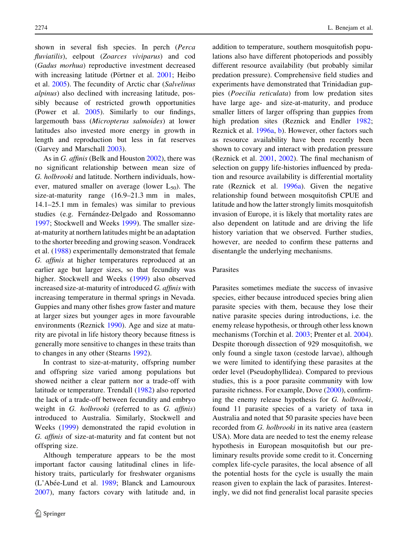shown in several fish species. In perch (Perca fluviatilis), eelpout (Zoarces viviparus) and cod (Gadus morhua) reproductive investment decreased with increasing latitude (Pörtner et al.  $2001$ ; Heibo et al. [2005\)](#page-11-0). The fecundity of Arctic char (Salvelinus alpinus) also declined with increasing latitude, possibly because of restricted growth opportunities (Power et al. [2005](#page-11-0)). Similarly to our findings, largemouth bass (Micropterus salmoides) at lower latitudes also invested more energy in growth in length and reproduction but less in fat reserves (Garvey and Marschall [2003\)](#page-10-0).

As in *G. affinis* (Belk and Houston [2002\)](#page-10-0), there was no significant relationship between mean size of G. holbrooki and latitude. Northern individuals, however, matured smaller on average (lower  $L_{50}$ ). The size-at-maturity range (16.9–21.3 mm in males, 14.1–25.1 mm in females) was similar to previous studies (e.g. Fernández-Delgado and Rossomanno [1997;](#page-10-0) Stockwell and Weeks [1999](#page-12-0)). The smaller sizeat-maturity at northern latitudes might be an adaptation to the shorter breeding and growing season. Vondracek et al. [\(1988](#page-12-0)) experimentally demonstrated that female G. affinis at higher temperatures reproduced at an earlier age but larger sizes, so that fecundity was higher. Stockwell and Weeks ([1999\)](#page-12-0) also observed increased size-at-maturity of introduced G. affinis with increasing temperature in thermal springs in Nevada. Guppies and many other fishes grow faster and mature at larger sizes but younger ages in more favourable environments (Reznick [1990\)](#page-11-0). Age and size at maturity are pivotal in life history theory because fitness is generally more sensitive to changes in these traits than to changes in any other (Stearns [1992\)](#page-12-0).

In contrast to size-at-maturity, offspring number and offspring size varied among populations but showed neither a clear pattern nor a trade-off with latitude or temperature. Trendall ([1982\)](#page-12-0) also reported the lack of a trade-off between fecundity and embryo weight in G. holbrooki (referred to as G. affinis) introduced to Australia. Similarly, Stockwell and Weeks [\(1999](#page-12-0)) demonstrated the rapid evolution in G. affinis of size-at-maturity and fat content but not offspring size.

Although temperature appears to be the most important factor causing latitudinal clines in lifehistory traits, particularly for freshwater organisms (L'Abée-Lund et al. [1989](#page-11-0); Blanck and Lamouroux [2007\)](#page-10-0), many factors covary with latitude and, in addition to temperature, southern mosquitofish populations also have different photoperiods and possibly different resource availability (but probably similar predation pressure). Comprehensive field studies and experiments have demonstrated that Trinidadian guppies (Poecilia reticulata) from low predation sites have large age- and size-at-maturity, and produce smaller litters of larger offspring than guppies from high predation sites (Reznick and Endler [1982](#page-11-0); Reznick et al. [1996a,](#page-11-0) [b\)](#page-11-0). However, other factors such as resource availability have been recently been shown to covary and interact with predation pressure (Reznick et al. [2001](#page-11-0), [2002\)](#page-11-0). The final mechanism of selection on guppy life-histories influenced by predation and resource availability is differential mortality rate (Reznick et al. [1996a\)](#page-11-0). Given the negative relationship found between mosquitofish CPUE and latitude and how the latter strongly limits mosquitofish invasion of Europe, it is likely that mortality rates are also dependent on latitude and are driving the life history variation that we observed. Further studies, however, are needed to confirm these patterns and disentangle the underlying mechanisms.

# Parasites

Parasites sometimes mediate the success of invasive species, either because introduced species bring alien parasite species with them, because they lose their native parasite species during introductions, i.e. the enemy release hypothesis, or through other less known mechanisms (Torchin et al. [2003](#page-12-0); Prenter et al. [2004](#page-11-0)). Despite thorough dissection of 929 mosquitofish, we only found a single taxon (cestode larvae), although we were limited to identifying these parasites at the order level (Pseudophyllidea). Compared to previous studies, this is a poor parasite community with low parasite richness. For example, Dove ([2000\)](#page-10-0), confirming the enemy release hypothesis for G. holbrooki, found 11 parasite species of a variety of taxa in Australia and noted that 50 parasite species have been recorded from G. holbrooki in its native area (eastern USA). More data are needed to test the enemy release hypothesis in European mosquitofish but our preliminary results provide some credit to it. Concerning complex life-cycle parasites, the local absence of all the potential hosts for the cycle is usually the main reason given to explain the lack of parasites. Interestingly, we did not find generalist local parasite species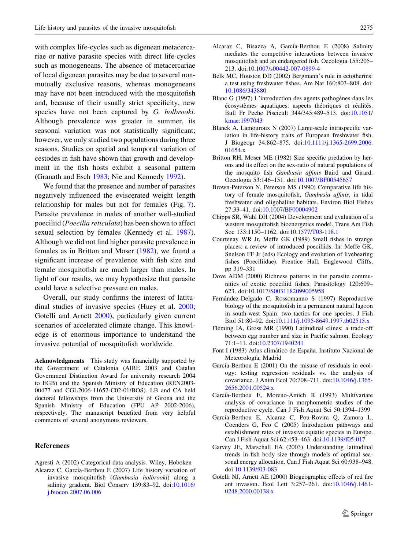<span id="page-10-0"></span>with complex life-cycles such as digenean metacercariae or native parasite species with direct life-cycles such as monogeneans. The absence of metacercariae of local digenean parasites may be due to several nonmutually exclusive reasons, whereas monogeneans may have not been introduced with the mosquitofish and, because of their usually strict specificity, new species have not been captured by G. holbrooki. Although prevalence was greater in summer, its seasonal variation was not statistically significant; however, we only studied two populations during three seasons. Studies on spatial and temporal variation of cestodes in fish have shown that growth and development in the fish hosts exhibit a seasonal pattern (Granath and Esch [1983](#page-11-0); Nie and Kennedy [1992\)](#page-11-0).

We found that the presence and number of parasites negatively influenced the eviscerated weight–length relationship for males but not for females (Fig. [7](#page-8-0)). Parasite prevalence in males of another well-studied poeciliid (Poecilia reticulata) has been shown to affect sexual selection by females (Kennedy et al. [1987](#page-11-0)). Although we did not find higher parasite prevalence in females as in Britton and Moser (1982), we found a significant increase of prevalence with fish size and female mosquitofish are much larger than males. In light of our results, we may hypothesize that parasite could have a selective pressure on males.

Overall, our study confirms the interest of latitudinal studies of invasive species (Huey et al. [2000](#page-11-0); Gotelli and Arnett 2000), particularly given current scenarios of accelerated climate change. This knowledge is of enormous importance to understand the invasive potential of mosquitofish worldwide.

Acknowledgments This study was financially supported by the Government of Catalonia (AIRE 2003 and Catalan Government Distinction Award for university research 2004 to EGB) and the Spanish Ministry of Education (REN2003- 00477 and CGL2006-11652-C02-01/BOS). LB and CA held doctoral fellowships from the University of Girona and the Spanish Ministry of Education (FPU AP 2002-2006), respectively. The manuscript benefited from very helpful comments of several anonymous reviewers.

## References

- Agresti A (2002) Categorical data analysis. Wiley, Hoboken
- Alcaraz C, García-Berthou E (2007) Life history variation of invasive mosquitofish (Gambusia holbrooki) along a salinity gradient. Biol Conserv 139:83–92. doi[:10.1016/](http://dx.doi.org/10.1016/j.biocon.2007.06.006) [j.biocon.2007.06.006](http://dx.doi.org/10.1016/j.biocon.2007.06.006)
- Alcaraz C, Bisazza A, García-Berthou E (2008) Salinity mediates the competitive interactions between invasive mosquitofish and an endangered fish. Oecologia 155:205– 213. doi:[10.1007/s00442-007-0899-4](http://dx.doi.org/10.1007/s00442-007-0899-4)
- Belk MC, Houston DD (2002) Bergmann's rule in ectotherms: a test using freshwater fishes. Am Nat 160:803–808. doi: [10.1086/343880](http://dx.doi.org/10.1086/343880)
- Blanc G (1997) L'introduction des agents pathogènes dans les écosystèmes aquatiques: aspects théoriques et réalités. Bull Fr Peche Piscicult 344/345:489–513. doi[:10.1051/](http://dx.doi.org/10.1051/kmae:1997043) [kmae:1997043](http://dx.doi.org/10.1051/kmae:1997043)
- Blanck A, Lamouroux N (2007) Large-scale intraspecific variation in life-history traits of European freshwater fish. J Biogeogr 34:862–875. doi[:10.1111/j.1365-2699.2006.](http://dx.doi.org/10.1111/j.1365-2699.2006.01654.x) [01654.x](http://dx.doi.org/10.1111/j.1365-2699.2006.01654.x)
- Britton RH, Moser ME (1982) Size specific predation by herons and its effect on the sex-ratio of natural populations of the mosquito fish Gambusia affinis Baird and Girard. Oecologia 53:146–151. doi[:10.1007/BF00545657](http://dx.doi.org/10.1007/BF00545657)
- Brown-Peterson N, Peterson MS (1990) Comparative life history of female mosquitofish, Gambusia affinis, in tidal freshwater and oligohaline habitats. Environ Biol Fishes 27:33–41. doi[:10.1007/BF00004902](http://dx.doi.org/10.1007/BF00004902)
- Chipps SR, Wahl DH (2004) Development and evaluation of a western mosquitofish bioenergetics model. Trans Am Fish Soc 133:1150–1162. doi:[10.1577/T03-118.1](http://dx.doi.org/10.1577/T03-118.1)
- Courtenay WR Jr, Meffe GK (1989) Small fishes in strange places: a review of introduced poeciliids. In: Meffe GK, Snelson FF Jr (eds) Ecology and evolution of livebearing fishes (Poeciliidae). Prentice Hall, Englewood Cliffs, pp 319–331
- Dove ADM (2000) Richness patterns in the parasite communities of exotic poeciliid fishes. Parasitology 120:609– 623. doi:[10.1017/S0031182099005958](http://dx.doi.org/10.1017/S0031182099005958)
- Fernández-Delgado C, Rossomanno S (1997) Reproductive biology of the mosquitofish in a permanent natural lagoon in south-west Spain: two tactics for one species. J Fish Biol 51:80–92. doi:[10.1111/j.1095-8649.1997.tb02515.x](http://dx.doi.org/10.1111/j.1095-8649.1997.tb02515.x)
- Fleming IA, Gross MR (1990) Latitudinal clines: a trade-off between egg number and size in Pacific salmon. Ecology 71:1–11. doi:[10.2307/1940241](http://dx.doi.org/10.2307/1940241)
- Font I (1983) Atlas climático de España. Instituto Nacional de Meteorología, Madrid
- García-Berthou E  $(2001)$  On the misuse of residuals in ecology: testing regression residuals vs. the analysis of covariance. J Anim Ecol 70:708–711. doi[:10.1046/j.1365-](http://dx.doi.org/10.1046/j.1365-2656.2001.00524.x) [2656.2001.00524.x](http://dx.doi.org/10.1046/j.1365-2656.2001.00524.x)
- García-Berthou E, Moreno-Amich R (1993) Multivariate analysis of covariance in morphometric studies of the reproductive cycle. Can J Fish Aquat Sci 50:1394–1399
- García-Berthou E, Alcaraz C, Pou-Rovira Q, Zamora L, Coenders G, Feo C (2005) Introduction pathways and establishment rates of invasive aquatic species in Europe. Can J Fish Aquat Sci 62:453–463. doi:[10.1139/f05-017](http://dx.doi.org/10.1139/f05-017)
- Garvey JE, Marschall EA (2003) Understanding latitudinal trends in fish body size through models of optimal seasonal energy allocation. Can J Fish Aquat Sci 60:938–948. doi[:10.1139/f03-083](http://dx.doi.org/10.1139/f03-083)
- Gotelli NJ, Arnett AE (2000) Biogeographic effects of red fire ant invasion. Ecol Lett 3:257–261. doi[:10.1046/j.1461-](http://dx.doi.org/10.1046/j.1461-0248.2000.00138.x) [0248.2000.00138.x](http://dx.doi.org/10.1046/j.1461-0248.2000.00138.x)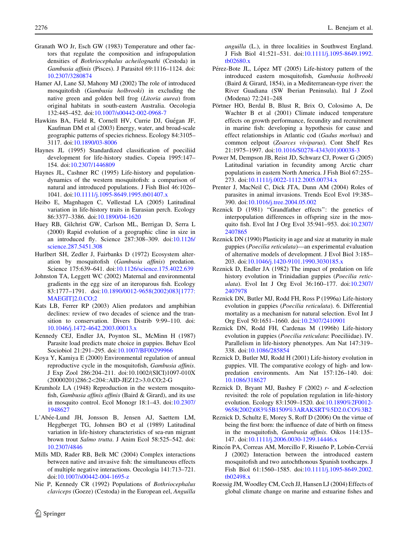- <span id="page-11-0"></span>Granath WO Jr, Esch GW (1983) Temperature and other factors that regulate the composition and infrapopulation densities of Bothriocephalus acheilognathi (Cestoda) in Gambusia affinis (Pisces). J Parasitol 69:1116–1124. doi: [10.2307/3280874](http://dx.doi.org/10.2307/3280874)
- Hamer AJ, Lane SJ, Mahony MJ (2002) The role of introduced mosquitofish (Gambusia holbrooki) in excluding the native green and golden bell frog (Litoria aurea) from original habitats in south-eastern Australia. Oecologia 132:445–452. doi:[10.1007/s00442-002-0968-7](http://dx.doi.org/10.1007/s00442-002-0968-7)
- Hawkins BA, Field R, Cornell HV, Currie DJ, Guégan JF, Kaufman DM et al (2003) Energy, water, and broad-scale geographic patterns of species richness. Ecology 84:3105– 3117. doi:[10.1890/03-8006](http://dx.doi.org/10.1890/03-8006)
- Haynes JL (1995) Standardized classification of poeciliid development for life-history studies. Copeia 1995:147– 154. doi:[10.2307/1446809](http://dx.doi.org/10.2307/1446809)
- Haynes JL, Cashner RC (1995) Life-history and populationdynamics of the western mosquitofish: a comparison of natural and introduced populations. J Fish Biol 46:1026– 1041. doi:[10.1111/j.1095-8649.1995.tb01407.x](http://dx.doi.org/10.1111/j.1095-8649.1995.tb01407.x)
- Heibo E, Magnhagen C, Vøllestad LA (2005) Latitudinal variation in life-history traits in Eurasian perch. Ecology 86:3377–3386. doi:[10.1890/04-1620](http://dx.doi.org/10.1890/04-1620)
- Huey RB, Gilchrist GW, Carlson ML, Berrigan D, Serra L (2000) Rapid evolution of a geographic cline in size in an introduced fly. Science 287:308–309. doi[:10.1126/](http://dx.doi.org/10.1126/science.287.5451.308) [science.287.5451.308](http://dx.doi.org/10.1126/science.287.5451.308)
- Hurlbert SH, Zedler J, Fairbanks D (1972) Ecosystem alteration by mosquitofish (Gambusia affinis) predation. Science 175:639–641. doi:[10.1126/science.175.4022.639](http://dx.doi.org/10.1126/science.175.4022.639)
- Johnston TA, Leggett WC (2002) Maternal and environmental gradients in the egg size of an iteroparous fish. Ecology 83:1777–1791. doi:[10.1890/0012-9658\(2002\)083\[1777:](http://dx.doi.org/10.1890/0012-9658(2002)083[1777:MAEGIT]2.0.CO;2) [MAEGIT\]2.0.CO;2](http://dx.doi.org/10.1890/0012-9658(2002)083[1777:MAEGIT]2.0.CO;2)
- Kats LB, Ferrer RP (2003) Alien predators and amphibian declines: review of two decades of science and the transition to conservation. Divers Distrib 9:99–110. doi: [10.1046/j.1472-4642.2003.00013.x](http://dx.doi.org/10.1046/j.1472-4642.2003.00013.x)
- Kennedy CEJ, Endler JA, Poynton SL, McMinn H (1987) Parasite load predicts mate choice in guppies. Behav Ecol Sociobiol 21:291–295. doi:[10.1007/BF00299966](http://dx.doi.org/10.1007/BF00299966)
- Koya Y, Kamiya E (2000) Environmental regulation of annual reproductive cycle in the mosquitofish, Gambusia affinis. J Exp Zool 286:204–211. doi:10.1002/(SICI)1097-010X (20000201)286:2<204::AID-JEZ12>3.0.CO;2-G
- Krumholz LA (1948) Reproduction in the western mosquitofish, Gambusia affinis affinis (Baird & Girard), and its use in mosquito control. Ecol Monogr 18:1–43. doi[:10.2307/](http://dx.doi.org/10.2307/1948627) [1948627](http://dx.doi.org/10.2307/1948627)
- L'Abe´e-Lund JH, Jonsson B, Jensen AJ, Saettem LM, Heggberget TG, Johnsen BO et al (1989) Latitudinal variation in life-history characteristics of sea-run migrant brown trout Salmo trutta. J Anim Ecol 58:525–542. doi: [10.2307/4846](http://dx.doi.org/10.2307/4846)
- Mills MD, Rader RB, Belk MC (2004) Complex interactions between native and invasive fish: the simultaneous effects of multiple negative interactions. Oecologia 141:713–721. doi[:10.1007/s00442-004-1695-z](http://dx.doi.org/10.1007/s00442-004-1695-z)
- Nie P, Kennedy CR (1992) Populations of Bothriocephalus claviceps (Goeze) (Cestoda) in the European eel, Anguilla

anguilla (L.), in three localities in Southwest England. J Fish Biol 41:521–531. doi[:10.1111/j.1095-8649.1992.](http://dx.doi.org/10.1111/j.1095-8649.1992.tb02680.x) [tb02680.x](http://dx.doi.org/10.1111/j.1095-8649.1992.tb02680.x)

- Pérez-Bote JL, López MT (2005) Life-history pattern of the introduced eastern mosquitofish, Gambusia holbrooki (Baird & Girard, 1854), in a Mediterranean-type river: the River Guadiana (SW Iberian Peninsula). Ital J Zool (Modena) 72:241–248
- Pörtner HO, Berdal B, Blust R, Brix O, Colosimo A, De Wachter B et al (2001) Climate induced temperature effects on growth performance, fecundity and recruitment in marine fish: developing a hypothesis for cause and effect relationships in Atlantic cod (Gadus morhua) and common eelpout (Zoarces viviparus). Cont Shelf Res 21:1975–1997. doi[:10.1016/S0278-4343\(01\)00038-3](http://dx.doi.org/10.1016/S0278-4343(01)00038-3)
- Power M, Dempson JB, Reist JD, Schwarz CJ, Power G (2005) Latitudinal variation in fecundity among Arctic charr populations in eastern North America. J Fish Biol 67:255– 273. doi:[10.1111/j.0022-1112.2005.00734.x](http://dx.doi.org/10.1111/j.0022-1112.2005.00734.x)
- Prenter J, MacNeil C, Dick JTA, Dunn AM (2004) Roles of parasites in animal invasions. Trends Ecol Evol 19:385– 390. doi:[10.1016/j.tree.2004.05.002](http://dx.doi.org/10.1016/j.tree.2004.05.002)
- Reznick D (1981) ''Grandfather effects'': the genetics of interpopulation differences in offspring size in the mosquito fish. Evol Int J Org Evol 35:941–953. doi[:10.2307/](http://dx.doi.org/10.2307/2407865) [2407865](http://dx.doi.org/10.2307/2407865)
- Reznick DN (1990) Plasticity in age and size at maturity in male guppies (Poecilia reticulata)—an experimental evaluation of alternative models of development. J Evol Biol 3:185– 203. doi[:10.1046/j.1420-9101.1990.3030185.x](http://dx.doi.org/10.1046/j.1420-9101.1990.3030185.x)
- Reznick D, Endler JA (1982) The impact of predation on life history evolution in Trinidadian guppies (Poecilia reticulata). Evol Int J Org Evol 36:160–177. doi[:10.2307/](http://dx.doi.org/10.2307/2407978) [2407978](http://dx.doi.org/10.2307/2407978)
- Reznick DN, Butler MJ, Rodd FH, Ross P (1996a) Life-history evolution in guppies (Poecilia reticulata). 6. Differential mortality as a mechanism for natural selection. Evol Int J Org Evol 50:1651–1660. doi:[10.2307/2410901](http://dx.doi.org/10.2307/2410901)
- Reznick DN, Rodd FH, Cardenas M (1996b) Life-history evolution in guppies (Poecilia reticulata: Poeciliidae). IV. Parallelism in life-history phenotypes. Am Nat 147:319– 338. doi:[10.1086/285854](http://dx.doi.org/10.1086/285854)
- Reznick D, Butler MJ, Rodd H (2001) Life-history evolution in guppies. VII. The comparative ecology of high- and lowpredation environments. Am Nat 157:126–140. doi: [10.1086/318627](http://dx.doi.org/10.1086/318627)
- Reznick D, Bryant MJ, Bashey F  $(2002)$  r- and K-selection revisited: the role of population regulation in life-history evolution. Ecology 83:1509–1520. doi[:10.1890%2F0012-](http://dx.doi.org/10.1890%2F0012-9658(2002)083%5B1509%3ARAKSRT%5D2.0.CO%3B2) [9658\(2002\)083%5B1509%3ARAKSRT%5D2.0.CO%3B2](http://dx.doi.org/10.1890%2F0012-9658(2002)083%5B1509%3ARAKSRT%5D2.0.CO%3B2)
- Reznick D, Schultz E, Morey S, Roff D (2006) On the virtue of being the first born: the influence of date of birth on fitness in the mosquitofish, Gambusia affinis. Oikos 114:135– 147. doi:[10.1111/j.2006.0030-1299.14446.x](http://dx.doi.org/10.1111/j.2006.0030-1299.14446.x)
- Rincón PA, Correas AM, Morcillo F, Risueño P, Lobón-Cerviá J (2002) Interaction between the introduced eastern mosquitofish and two autochthonous Spanish toothcarps. J Fish Biol 61:1560–1585. doi[:10.1111/j.1095-8649.2002.](http://dx.doi.org/10.1111/j.1095-8649.2002.tb02498.x) [tb02498.x](http://dx.doi.org/10.1111/j.1095-8649.2002.tb02498.x)
- Roessig JM, Woodley CM, Cech JJ, Hansen LJ (2004) Effects of global climate change on marine and estuarine fishes and